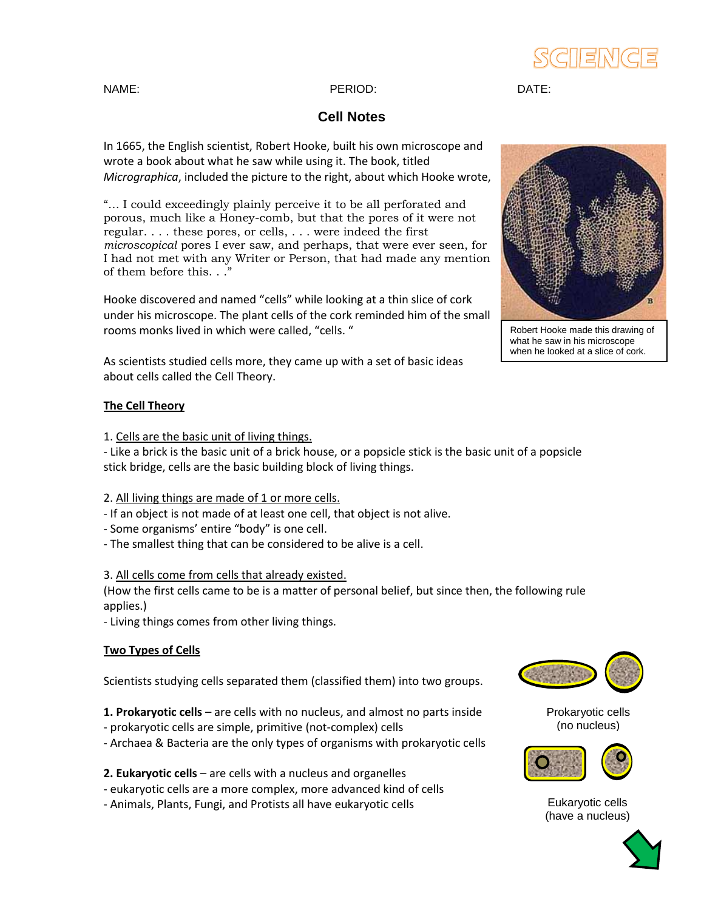## SCIENC

### **Cell Notes**

In 1665, the English scientist, Robert Hooke, built his own microscope and wrote a book about what he saw while using it. The book, titled *Micrographica*, included the picture to the right, about which Hooke wrote,

"… I could exceedingly plainly perceive it to be all perforated and porous, much like a Honey-comb, but that the pores of it were not regular. . . . these pores, or cells, . . . were indeed the first *microscopical* pores I ever saw, and perhaps, that were ever seen, for I had not met with any Writer or Person, that had made any mention of them before this. . ."

Hooke discovered and named "cells" while looking at a thin slice of cork under his microscope. The plant cells of the cork reminded him of the small rooms monks lived in which were called, "cells. "

As scientists studied cells more, they came up with a set of basic ideas about cells called the Cell Theory.

#### **The Cell Theory**

1. Cells are the basic unit of living things.

- Like a brick is the basic unit of a brick house, or a popsicle stick is the basic unit of a popsicle stick bridge, cells are the basic building block of living things.

#### 2. All living things are made of 1 or more cells.

- If an object is not made of at least one cell, that object is not alive.
- Some organisms' entire "body" is one cell.
- The smallest thing that can be considered to be alive is a cell.

#### 3. All cells come from cells that already existed.

(How the first cells came to be is a matter of personal belief, but since then, the following rule applies.)

- Living things comes from other living things.

#### **Two Types of Cells**

Scientists studying cells separated them (classified them) into two groups.

- **1. Prokaryotic cells** are cells with no nucleus, and almost no parts inside
- prokaryotic cells are simple, primitive (not-complex) cells
- Archaea & Bacteria are the only types of organisms with prokaryotic cells
- **2. Eukaryotic cells** are cells with a nucleus and organelles
- eukaryotic cells are a more complex, more advanced kind of cells
- Animals, Plants, Fungi, and Protists all have eukaryotic cells



Robert Hooke made this drawing of what he saw in his microscope when he looked at a slice of cork.



Prokaryotic cells (no nucleus)



Eukaryotic cells (have a nucleus)